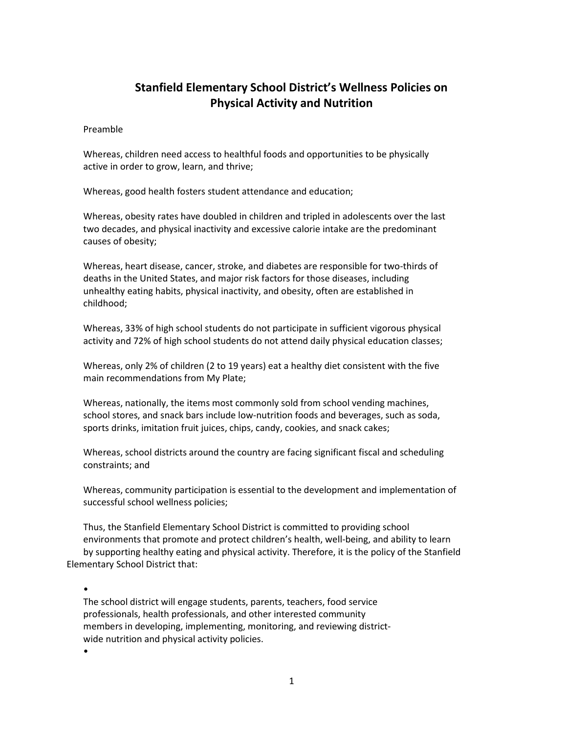# Stanfield Elementary School District's Wellness Policies on Physical Activity and Nutrition

## Preamble

Whereas, children need access to healthful foods and opportunities to be physically active in order to grow, learn, and thrive;

Whereas, good health fosters student attendance and education;

Whereas, obesity rates have doubled in children and tripled in adolescents over the last two decades, and physical inactivity and excessive calorie intake are the predominant causes of obesity;

Whereas, heart disease, cancer, stroke, and diabetes are responsible for two-thirds of deaths in the United States, and major risk factors for those diseases, including unhealthy eating habits, physical inactivity, and obesity, often are established in childhood;

Whereas, 33% of high school students do not participate in sufficient vigorous physical activity and 72% of high school students do not attend daily physical education classes;

Whereas, only 2% of children (2 to 19 years) eat a healthy diet consistent with the five main recommendations from My Plate;

Whereas, nationally, the items most commonly sold from school vending machines, school stores, and snack bars include low-nutrition foods and beverages, such as soda, sports drinks, imitation fruit juices, chips, candy, cookies, and snack cakes;

Whereas, school districts around the country are facing significant fiscal and scheduling constraints; and

Whereas, community participation is essential to the development and implementation of successful school wellness policies;

Thus, the Stanfield Elementary School District is committed to providing school environments that promote and protect children's health, well-being, and ability to learn by supporting healthy eating and physical activity. Therefore, it is the policy of the Stanfield Elementary School District that:

•

The school district will engage students, parents, teachers, food service professionals, health professionals, and other interested community members in developing, implementing, monitoring, and reviewing districtwide nutrition and physical activity policies.

•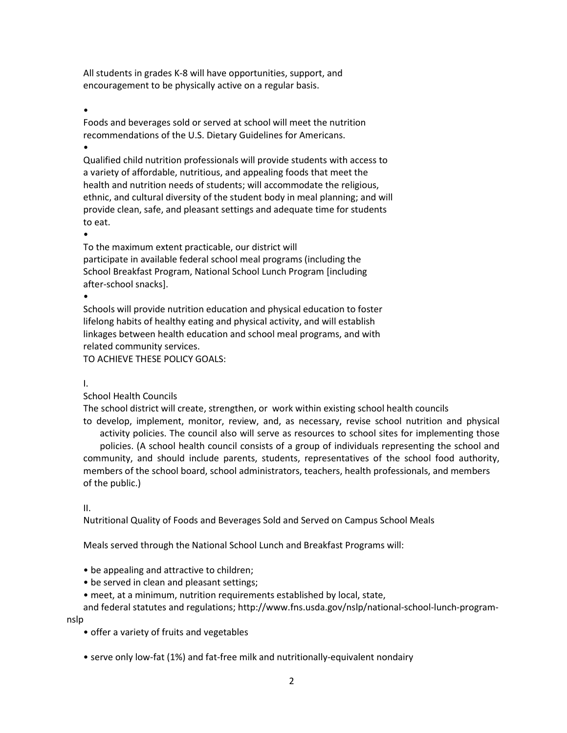All students in grades K-8 will have opportunities, support, and encouragement to be physically active on a regular basis.

# •

Foods and beverages sold or served at school will meet the nutrition recommendations of the U.S. Dietary Guidelines for Americans.

#### •

Qualified child nutrition professionals will provide students with access to a variety of affordable, nutritious, and appealing foods that meet the health and nutrition needs of students; will accommodate the religious, ethnic, and cultural diversity of the student body in meal planning; and will provide clean, safe, and pleasant settings and adequate time for students to eat.

•

To the maximum extent practicable, our district will participate in available federal school meal programs (including the School Breakfast Program, National School Lunch Program [including after-school snacks].

•

Schools will provide nutrition education and physical education to foster lifelong habits of healthy eating and physical activity, and will establish linkages between health education and school meal programs, and with related community services.

TO ACHIEVE THESE POLICY GOALS:

# I.

School Health Councils

The school district will create, strengthen, or work within existing school health councils

to develop, implement, monitor, review, and, as necessary, revise school nutrition and physical activity policies. The council also will serve as resources to school sites for implementing those policies. (A school health council consists of a group of individuals representing the school and community, and should include parents, students, representatives of the school food authority, members of the school board, school administrators, teachers, health professionals, and members of the public.)

II.

Nutritional Quality of Foods and Beverages Sold and Served on Campus School Meals

Meals served through the National School Lunch and Breakfast Programs will:

- be appealing and attractive to children;
- be served in clean and pleasant settings;
- meet, at a minimum, nutrition requirements established by local, state,

and federal statutes and regulations; http://www.fns.usda.gov/nslp/national-school-lunch-program-

nslp

- offer a variety of fruits and vegetables
- serve only low-fat (1%) and fat-free milk and nutritionally-equivalent nondairy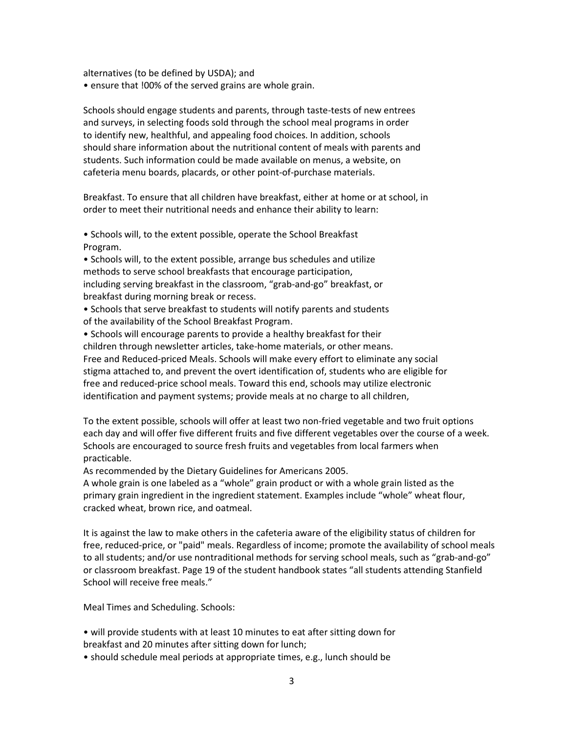alternatives (to be defined by USDA); and

• ensure that !00% of the served grains are whole grain.

Schools should engage students and parents, through taste-tests of new entrees and surveys, in selecting foods sold through the school meal programs in order to identify new, healthful, and appealing food choices. In addition, schools should share information about the nutritional content of meals with parents and students. Such information could be made available on menus, a website, on cafeteria menu boards, placards, or other point-of-purchase materials.

Breakfast. To ensure that all children have breakfast, either at home or at school, in order to meet their nutritional needs and enhance their ability to learn:

• Schools will, to the extent possible, operate the School Breakfast Program.

• Schools will, to the extent possible, arrange bus schedules and utilize methods to serve school breakfasts that encourage participation, including serving breakfast in the classroom, "grab-and-go" breakfast, or breakfast during morning break or recess.

• Schools that serve breakfast to students will notify parents and students of the availability of the School Breakfast Program.

• Schools will encourage parents to provide a healthy breakfast for their children through newsletter articles, take-home materials, or other means. Free and Reduced-priced Meals. Schools will make every effort to eliminate any social stigma attached to, and prevent the overt identification of, students who are eligible for free and reduced-price school meals. Toward this end, schools may utilize electronic identification and payment systems; provide meals at no charge to all children,

To the extent possible, schools will offer at least two non-fried vegetable and two fruit options each day and will offer five different fruits and five different vegetables over the course of a week. Schools are encouraged to source fresh fruits and vegetables from local farmers when practicable.

As recommended by the Dietary Guidelines for Americans 2005.

A whole grain is one labeled as a "whole" grain product or with a whole grain listed as the primary grain ingredient in the ingredient statement. Examples include "whole" wheat flour, cracked wheat, brown rice, and oatmeal.

It is against the law to make others in the cafeteria aware of the eligibility status of children for free, reduced-price, or "paid" meals. Regardless of income; promote the availability of school meals to all students; and/or use nontraditional methods for serving school meals, such as "grab-and-go" or classroom breakfast. Page 19 of the student handbook states "all students attending Stanfield School will receive free meals."

Meal Times and Scheduling. Schools:

• will provide students with at least 10 minutes to eat after sitting down for breakfast and 20 minutes after sitting down for lunch;

• should schedule meal periods at appropriate times, e.g., lunch should be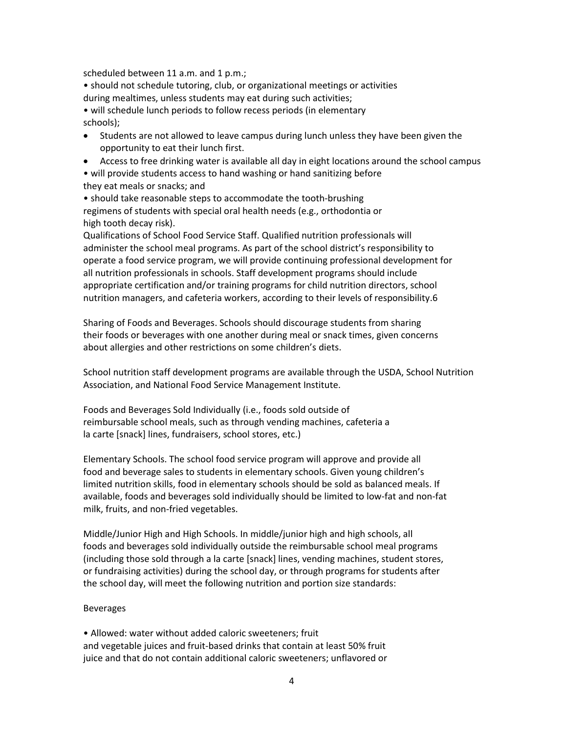scheduled between 11 a.m. and 1 p.m.;

• should not schedule tutoring, club, or organizational meetings or activities during mealtimes, unless students may eat during such activities;

• will schedule lunch periods to follow recess periods (in elementary schools);

- Students are not allowed to leave campus during lunch unless they have been given the opportunity to eat their lunch first.
- Access to free drinking water is available all day in eight locations around the school campus

• will provide students access to hand washing or hand sanitizing before they eat meals or snacks; and

• should take reasonable steps to accommodate the tooth-brushing regimens of students with special oral health needs (e.g., orthodontia or high tooth decay risk).

Qualifications of School Food Service Staff. Qualified nutrition professionals will administer the school meal programs. As part of the school district's responsibility to operate a food service program, we will provide continuing professional development for all nutrition professionals in schools. Staff development programs should include appropriate certification and/or training programs for child nutrition directors, school nutrition managers, and cafeteria workers, according to their levels of responsibility.6

Sharing of Foods and Beverages. Schools should discourage students from sharing their foods or beverages with one another during meal or snack times, given concerns about allergies and other restrictions on some children's diets.

School nutrition staff development programs are available through the USDA, School Nutrition Association, and National Food Service Management Institute.

Foods and Beverages Sold Individually (i.e., foods sold outside of reimbursable school meals, such as through vending machines, cafeteria a la carte [snack] lines, fundraisers, school stores, etc.)

Elementary Schools. The school food service program will approve and provide all food and beverage sales to students in elementary schools. Given young children's limited nutrition skills, food in elementary schools should be sold as balanced meals. If available, foods and beverages sold individually should be limited to low-fat and non-fat milk, fruits, and non-fried vegetables.

Middle/Junior High and High Schools. In middle/junior high and high schools, all foods and beverages sold individually outside the reimbursable school meal programs (including those sold through a la carte [snack] lines, vending machines, student stores, or fundraising activities) during the school day, or through programs for students after the school day, will meet the following nutrition and portion size standards:

### Beverages

• Allowed: water without added caloric sweeteners; fruit and vegetable juices and fruit-based drinks that contain at least 50% fruit juice and that do not contain additional caloric sweeteners; unflavored or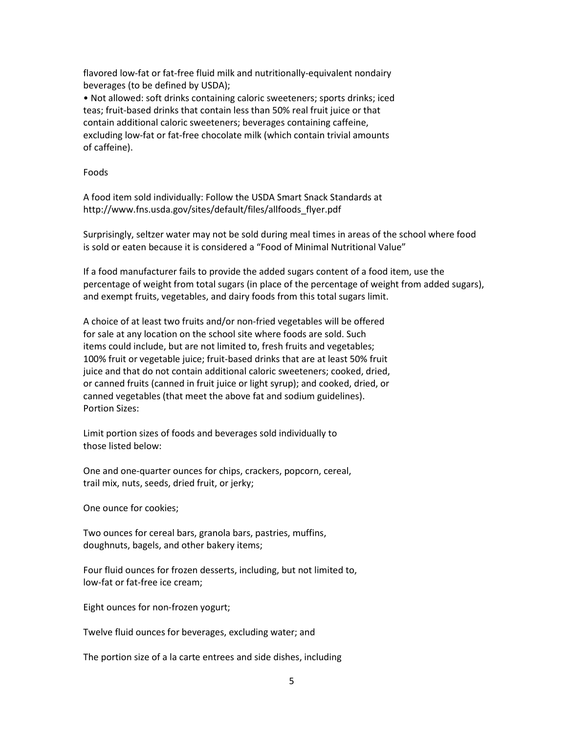flavored low-fat or fat-free fluid milk and nutritionally-equivalent nondairy beverages (to be defined by USDA);

• Not allowed: soft drinks containing caloric sweeteners; sports drinks; iced teas; fruit-based drinks that contain less than 50% real fruit juice or that contain additional caloric sweeteners; beverages containing caffeine, excluding low-fat or fat-free chocolate milk (which contain trivial amounts of caffeine).

Foods

A food item sold individually: Follow the USDA Smart Snack Standards at http://www.fns.usda.gov/sites/default/files/allfoods\_flyer.pdf

Surprisingly, seltzer water may not be sold during meal times in areas of the school where food is sold or eaten because it is considered a "Food of Minimal Nutritional Value"

If a food manufacturer fails to provide the added sugars content of a food item, use the percentage of weight from total sugars (in place of the percentage of weight from added sugars), and exempt fruits, vegetables, and dairy foods from this total sugars limit.

A choice of at least two fruits and/or non-fried vegetables will be offered for sale at any location on the school site where foods are sold. Such items could include, but are not limited to, fresh fruits and vegetables; 100% fruit or vegetable juice; fruit-based drinks that are at least 50% fruit juice and that do not contain additional caloric sweeteners; cooked, dried, or canned fruits (canned in fruit juice or light syrup); and cooked, dried, or canned vegetables (that meet the above fat and sodium guidelines). Portion Sizes:

Limit portion sizes of foods and beverages sold individually to those listed below:

One and one-quarter ounces for chips, crackers, popcorn, cereal, trail mix, nuts, seeds, dried fruit, or jerky;

One ounce for cookies;

Two ounces for cereal bars, granola bars, pastries, muffins, doughnuts, bagels, and other bakery items;

Four fluid ounces for frozen desserts, including, but not limited to, low-fat or fat-free ice cream;

Eight ounces for non-frozen yogurt;

Twelve fluid ounces for beverages, excluding water; and

The portion size of a la carte entrees and side dishes, including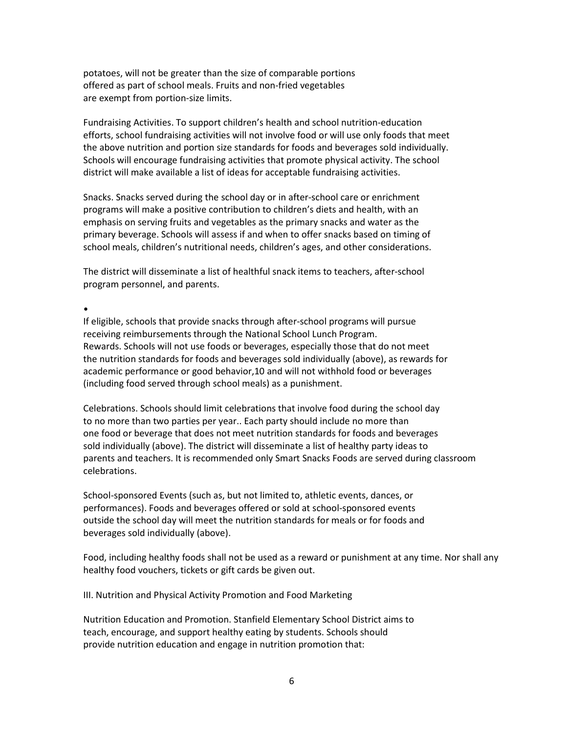potatoes, will not be greater than the size of comparable portions offered as part of school meals. Fruits and non-fried vegetables are exempt from portion-size limits.

Fundraising Activities. To support children's health and school nutrition-education efforts, school fundraising activities will not involve food or will use only foods that meet the above nutrition and portion size standards for foods and beverages sold individually. Schools will encourage fundraising activities that promote physical activity. The school district will make available a list of ideas for acceptable fundraising activities.

Snacks. Snacks served during the school day or in after-school care or enrichment programs will make a positive contribution to children's diets and health, with an emphasis on serving fruits and vegetables as the primary snacks and water as the primary beverage. Schools will assess if and when to offer snacks based on timing of school meals, children's nutritional needs, children's ages, and other considerations.

The district will disseminate a list of healthful snack items to teachers, after-school program personnel, and parents.

•

If eligible, schools that provide snacks through after-school programs will pursue receiving reimbursements through the National School Lunch Program. Rewards. Schools will not use foods or beverages, especially those that do not meet the nutrition standards for foods and beverages sold individually (above), as rewards for academic performance or good behavior,10 and will not withhold food or beverages (including food served through school meals) as a punishment.

Celebrations. Schools should limit celebrations that involve food during the school day to no more than two parties per year.. Each party should include no more than one food or beverage that does not meet nutrition standards for foods and beverages sold individually (above). The district will disseminate a list of healthy party ideas to parents and teachers. It is recommended only Smart Snacks Foods are served during classroom celebrations.

School-sponsored Events (such as, but not limited to, athletic events, dances, or performances). Foods and beverages offered or sold at school-sponsored events outside the school day will meet the nutrition standards for meals or for foods and beverages sold individually (above).

Food, including healthy foods shall not be used as a reward or punishment at any time. Nor shall any healthy food vouchers, tickets or gift cards be given out.

III. Nutrition and Physical Activity Promotion and Food Marketing

Nutrition Education and Promotion. Stanfield Elementary School District aims to teach, encourage, and support healthy eating by students. Schools should provide nutrition education and engage in nutrition promotion that: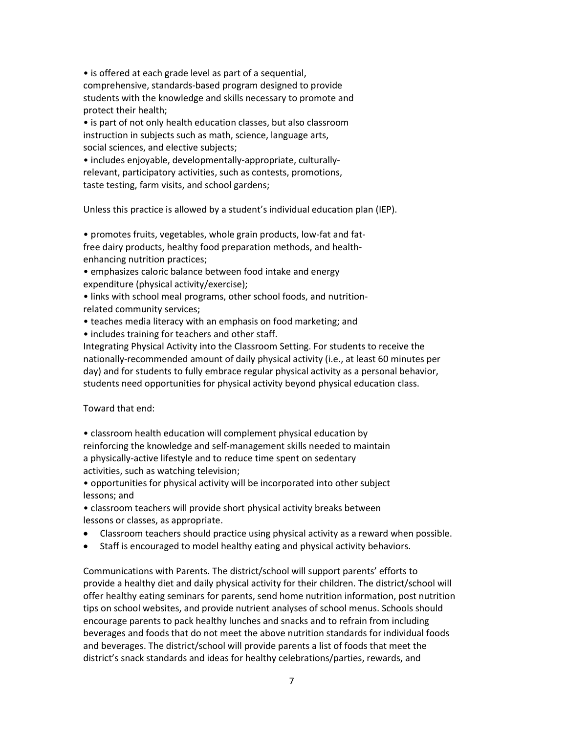• is offered at each grade level as part of a sequential, comprehensive, standards-based program designed to provide students with the knowledge and skills necessary to promote and protect their health;

• is part of not only health education classes, but also classroom instruction in subjects such as math, science, language arts, social sciences, and elective subjects;

• includes enjoyable, developmentally-appropriate, culturallyrelevant, participatory activities, such as contests, promotions, taste testing, farm visits, and school gardens;

Unless this practice is allowed by a student's individual education plan (IEP).

• promotes fruits, vegetables, whole grain products, low-fat and fatfree dairy products, healthy food preparation methods, and healthenhancing nutrition practices;

• emphasizes caloric balance between food intake and energy expenditure (physical activity/exercise);

• links with school meal programs, other school foods, and nutritionrelated community services;

• teaches media literacy with an emphasis on food marketing; and

• includes training for teachers and other staff.

Integrating Physical Activity into the Classroom Setting. For students to receive the nationally-recommended amount of daily physical activity (i.e., at least 60 minutes per day) and for students to fully embrace regular physical activity as a personal behavior, students need opportunities for physical activity beyond physical education class.

Toward that end:

• classroom health education will complement physical education by reinforcing the knowledge and self-management skills needed to maintain a physically-active lifestyle and to reduce time spent on sedentary activities, such as watching television;

• opportunities for physical activity will be incorporated into other subject lessons; and

• classroom teachers will provide short physical activity breaks between lessons or classes, as appropriate.

- Classroom teachers should practice using physical activity as a reward when possible.
- Staff is encouraged to model healthy eating and physical activity behaviors.

Communications with Parents. The district/school will support parents' efforts to provide a healthy diet and daily physical activity for their children. The district/school will offer healthy eating seminars for parents, send home nutrition information, post nutrition tips on school websites, and provide nutrient analyses of school menus. Schools should encourage parents to pack healthy lunches and snacks and to refrain from including beverages and foods that do not meet the above nutrition standards for individual foods and beverages. The district/school will provide parents a list of foods that meet the district's snack standards and ideas for healthy celebrations/parties, rewards, and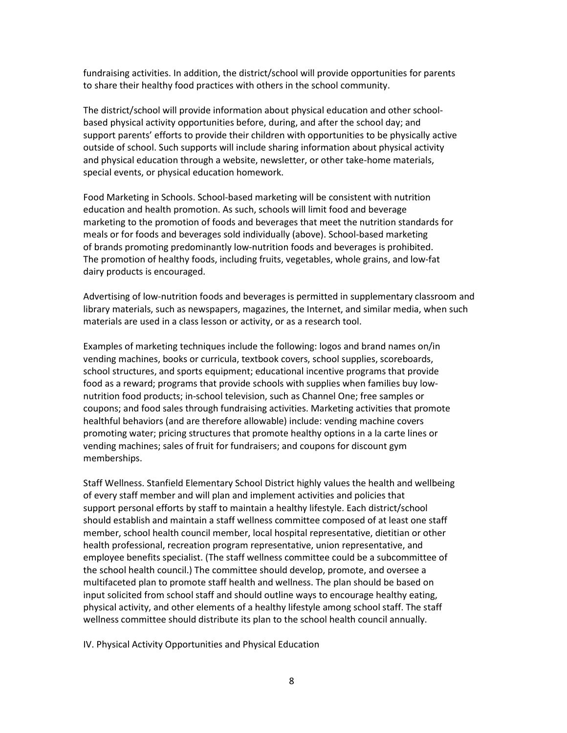fundraising activities. In addition, the district/school will provide opportunities for parents to share their healthy food practices with others in the school community.

The district/school will provide information about physical education and other schoolbased physical activity opportunities before, during, and after the school day; and support parents' efforts to provide their children with opportunities to be physically active outside of school. Such supports will include sharing information about physical activity and physical education through a website, newsletter, or other take-home materials, special events, or physical education homework.

Food Marketing in Schools. School-based marketing will be consistent with nutrition education and health promotion. As such, schools will limit food and beverage marketing to the promotion of foods and beverages that meet the nutrition standards for meals or for foods and beverages sold individually (above). School-based marketing of brands promoting predominantly low-nutrition foods and beverages is prohibited. The promotion of healthy foods, including fruits, vegetables, whole grains, and low-fat dairy products is encouraged.

Advertising of low-nutrition foods and beverages is permitted in supplementary classroom and library materials, such as newspapers, magazines, the Internet, and similar media, when such materials are used in a class lesson or activity, or as a research tool.

Examples of marketing techniques include the following: logos and brand names on/in vending machines, books or curricula, textbook covers, school supplies, scoreboards, school structures, and sports equipment; educational incentive programs that provide food as a reward; programs that provide schools with supplies when families buy lownutrition food products; in-school television, such as Channel One; free samples or coupons; and food sales through fundraising activities. Marketing activities that promote healthful behaviors (and are therefore allowable) include: vending machine covers promoting water; pricing structures that promote healthy options in a la carte lines or vending machines; sales of fruit for fundraisers; and coupons for discount gym memberships.

Staff Wellness. Stanfield Elementary School District highly values the health and wellbeing of every staff member and will plan and implement activities and policies that support personal efforts by staff to maintain a healthy lifestyle. Each district/school should establish and maintain a staff wellness committee composed of at least one staff member, school health council member, local hospital representative, dietitian or other health professional, recreation program representative, union representative, and employee benefits specialist. (The staff wellness committee could be a subcommittee of the school health council.) The committee should develop, promote, and oversee a multifaceted plan to promote staff health and wellness. The plan should be based on input solicited from school staff and should outline ways to encourage healthy eating, physical activity, and other elements of a healthy lifestyle among school staff. The staff wellness committee should distribute its plan to the school health council annually.

IV. Physical Activity Opportunities and Physical Education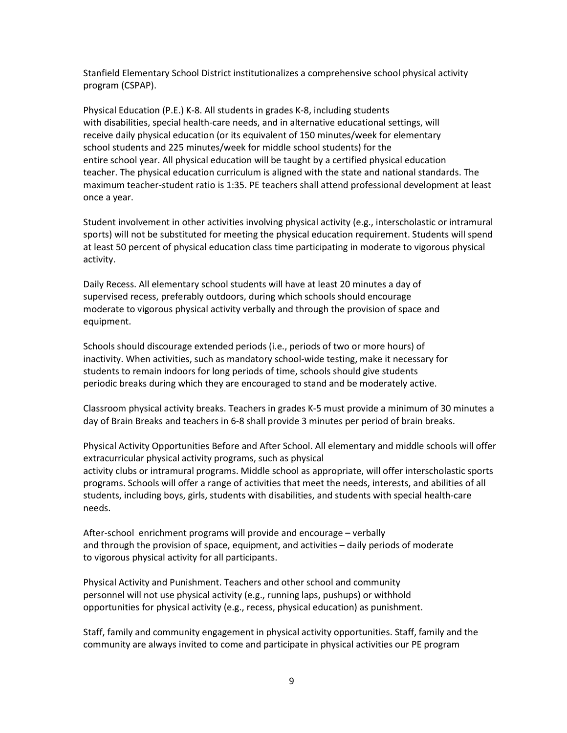Stanfield Elementary School District institutionalizes a comprehensive school physical activity program (CSPAP).

Physical Education (P.E.) K-8. All students in grades K-8, including students with disabilities, special health-care needs, and in alternative educational settings, will receive daily physical education (or its equivalent of 150 minutes/week for elementary school students and 225 minutes/week for middle school students) for the entire school year. All physical education will be taught by a certified physical education teacher. The physical education curriculum is aligned with the state and national standards. The maximum teacher-student ratio is 1:35. PE teachers shall attend professional development at least once a year.

Student involvement in other activities involving physical activity (e.g., interscholastic or intramural sports) will not be substituted for meeting the physical education requirement. Students will spend at least 50 percent of physical education class time participating in moderate to vigorous physical activity.

Daily Recess. All elementary school students will have at least 20 minutes a day of supervised recess, preferably outdoors, during which schools should encourage moderate to vigorous physical activity verbally and through the provision of space and equipment.

Schools should discourage extended periods (i.e., periods of two or more hours) of inactivity. When activities, such as mandatory school-wide testing, make it necessary for students to remain indoors for long periods of time, schools should give students periodic breaks during which they are encouraged to stand and be moderately active.

Classroom physical activity breaks. Teachers in grades K-5 must provide a minimum of 30 minutes a day of Brain Breaks and teachers in 6-8 shall provide 3 minutes per period of brain breaks.

Physical Activity Opportunities Before and After School. All elementary and middle schools will offer extracurricular physical activity programs, such as physical activity clubs or intramural programs. Middle school as appropriate, will offer interscholastic sports programs. Schools will offer a range of activities that meet the needs, interests, and abilities of all students, including boys, girls, students with disabilities, and students with special health-care needs.

After-school enrichment programs will provide and encourage – verbally and through the provision of space, equipment, and activities – daily periods of moderate to vigorous physical activity for all participants.

Physical Activity and Punishment. Teachers and other school and community personnel will not use physical activity (e.g., running laps, pushups) or withhold opportunities for physical activity (e.g., recess, physical education) as punishment.

Staff, family and community engagement in physical activity opportunities. Staff, family and the community are always invited to come and participate in physical activities our PE program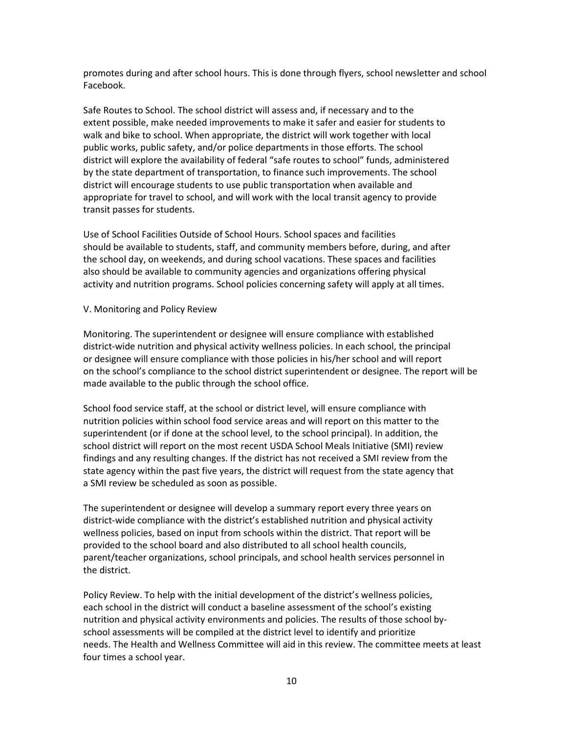promotes during and after school hours. This is done through flyers, school newsletter and school Facebook.

Safe Routes to School. The school district will assess and, if necessary and to the extent possible, make needed improvements to make it safer and easier for students to walk and bike to school. When appropriate, the district will work together with local public works, public safety, and/or police departments in those efforts. The school district will explore the availability of federal "safe routes to school" funds, administered by the state department of transportation, to finance such improvements. The school district will encourage students to use public transportation when available and appropriate for travel to school, and will work with the local transit agency to provide transit passes for students.

Use of School Facilities Outside of School Hours. School spaces and facilities should be available to students, staff, and community members before, during, and after the school day, on weekends, and during school vacations. These spaces and facilities also should be available to community agencies and organizations offering physical activity and nutrition programs. School policies concerning safety will apply at all times.

#### V. Monitoring and Policy Review

Monitoring. The superintendent or designee will ensure compliance with established district-wide nutrition and physical activity wellness policies. In each school, the principal or designee will ensure compliance with those policies in his/her school and will report on the school's compliance to the school district superintendent or designee. The report will be made available to the public through the school office.

School food service staff, at the school or district level, will ensure compliance with nutrition policies within school food service areas and will report on this matter to the superintendent (or if done at the school level, to the school principal). In addition, the school district will report on the most recent USDA School Meals Initiative (SMI) review findings and any resulting changes. If the district has not received a SMI review from the state agency within the past five years, the district will request from the state agency that a SMI review be scheduled as soon as possible.

The superintendent or designee will develop a summary report every three years on district-wide compliance with the district's established nutrition and physical activity wellness policies, based on input from schools within the district. That report will be provided to the school board and also distributed to all school health councils, parent/teacher organizations, school principals, and school health services personnel in the district.

Policy Review. To help with the initial development of the district's wellness policies, each school in the district will conduct a baseline assessment of the school's existing nutrition and physical activity environments and policies. The results of those school byschool assessments will be compiled at the district level to identify and prioritize needs. The Health and Wellness Committee will aid in this review. The committee meets at least four times a school year.